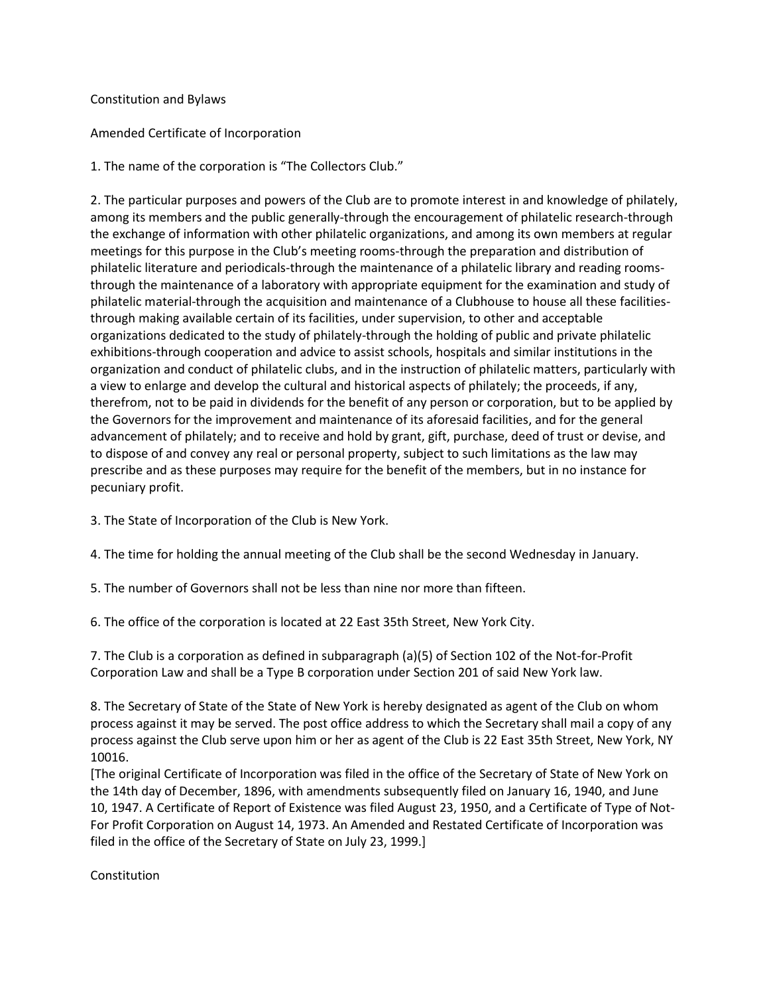### Constitution and Bylaws

### Amended Certificate of Incorporation

1. The name of the corporation is "The Collectors Club."

2. The particular purposes and powers of the Club are to promote interest in and knowledge of philately, among its members and the public generally-through the encouragement of philatelic research-through the exchange of information with other philatelic organizations, and among its own members at regular meetings for this purpose in the Club's meeting rooms-through the preparation and distribution of philatelic literature and periodicals-through the maintenance of a philatelic library and reading roomsthrough the maintenance of a laboratory with appropriate equipment for the examination and study of philatelic material-through the acquisition and maintenance of a Clubhouse to house all these facilitiesthrough making available certain of its facilities, under supervision, to other and acceptable organizations dedicated to the study of philately-through the holding of public and private philatelic exhibitions-through cooperation and advice to assist schools, hospitals and similar institutions in the organization and conduct of philatelic clubs, and in the instruction of philatelic matters, particularly with a view to enlarge and develop the cultural and historical aspects of philately; the proceeds, if any, therefrom, not to be paid in dividends for the benefit of any person or corporation, but to be applied by the Governors for the improvement and maintenance of its aforesaid facilities, and for the general advancement of philately; and to receive and hold by grant, gift, purchase, deed of trust or devise, and to dispose of and convey any real or personal property, subject to such limitations as the law may prescribe and as these purposes may require for the benefit of the members, but in no instance for pecuniary profit.

3. The State of Incorporation of the Club is New York.

4. The time for holding the annual meeting of the Club shall be the second Wednesday in January.

5. The number of Governors shall not be less than nine nor more than fifteen.

6. The office of the corporation is located at 22 East 35th Street, New York City.

7. The Club is a corporation as defined in subparagraph (a)(5) of Section 102 of the Not-for-Profit Corporation Law and shall be a Type B corporation under Section 201 of said New York law.

8. The Secretary of State of the State of New York is hereby designated as agent of the Club on whom process against it may be served. The post office address to which the Secretary shall mail a copy of any process against the Club serve upon him or her as agent of the Club is 22 East 35th Street, New York, NY 10016.

[The original Certificate of Incorporation was filed in the office of the Secretary of State of New York on the 14th day of December, 1896, with amendments subsequently filed on January 16, 1940, and June 10, 1947. A Certificate of Report of Existence was filed August 23, 1950, and a Certificate of Type of Not-For Profit Corporation on August 14, 1973. An Amended and Restated Certificate of Incorporation was filed in the office of the Secretary of State on July 23, 1999.]

Constitution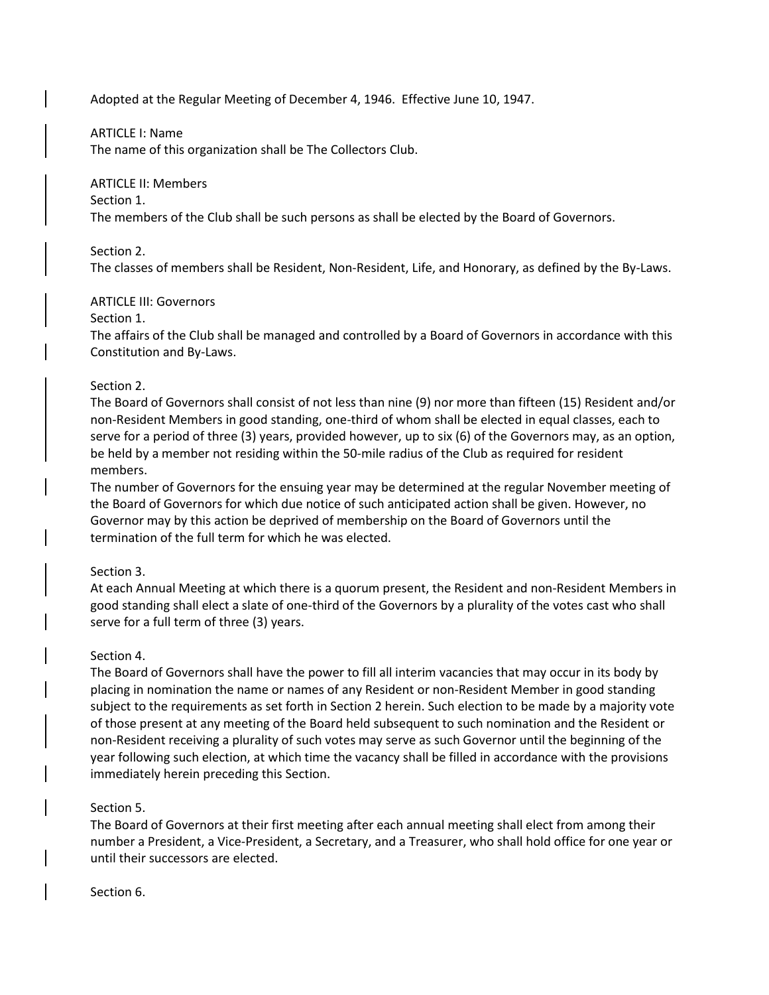Adopted at the Regular Meeting of December 4, 1946. Effective June 10, 1947.

### ARTICLE I: Name

The name of this organization shall be The Collectors Club.

# ARTICLE II: Members

Section 1.

The members of the Club shall be such persons as shall be elected by the Board of Governors.

# Section 2.

The classes of members shall be Resident, Non-Resident, Life, and Honorary, as defined by the By-Laws.

# ARTICLE III: Governors

### Section 1.

The affairs of the Club shall be managed and controlled by a Board of Governors in accordance with this Constitution and By-Laws.

# Section 2.

The Board of Governors shall consist of not less than nine (9) nor more than fifteen (15) Resident and/or non-Resident Members in good standing, one-third of whom shall be elected in equal classes, each to serve for a period of three (3) years, provided however, up to six (6) of the Governors may, as an option, be held by a member not residing within the 50-mile radius of the Club as required for resident members.

The number of Governors for the ensuing year may be determined at the regular November meeting of the Board of Governors for which due notice of such anticipated action shall be given. However, no Governor may by this action be deprived of membership on the Board of Governors until the termination of the full term for which he was elected.

# Section 3.

At each Annual Meeting at which there is a quorum present, the Resident and non-Resident Members in good standing shall elect a slate of one-third of the Governors by a plurality of the votes cast who shall serve for a full term of three (3) years.

# Section 4.

The Board of Governors shall have the power to fill all interim vacancies that may occur in its body by placing in nomination the name or names of any Resident or non-Resident Member in good standing subject to the requirements as set forth in Section 2 herein. Such election to be made by a majority vote of those present at any meeting of the Board held subsequent to such nomination and the Resident or non-Resident receiving a plurality of such votes may serve as such Governor until the beginning of the year following such election, at which time the vacancy shall be filled in accordance with the provisions immediately herein preceding this Section.

# Section 5.

The Board of Governors at their first meeting after each annual meeting shall elect from among their number a President, a Vice-President, a Secretary, and a Treasurer, who shall hold office for one year or until their successors are elected.

Section 6.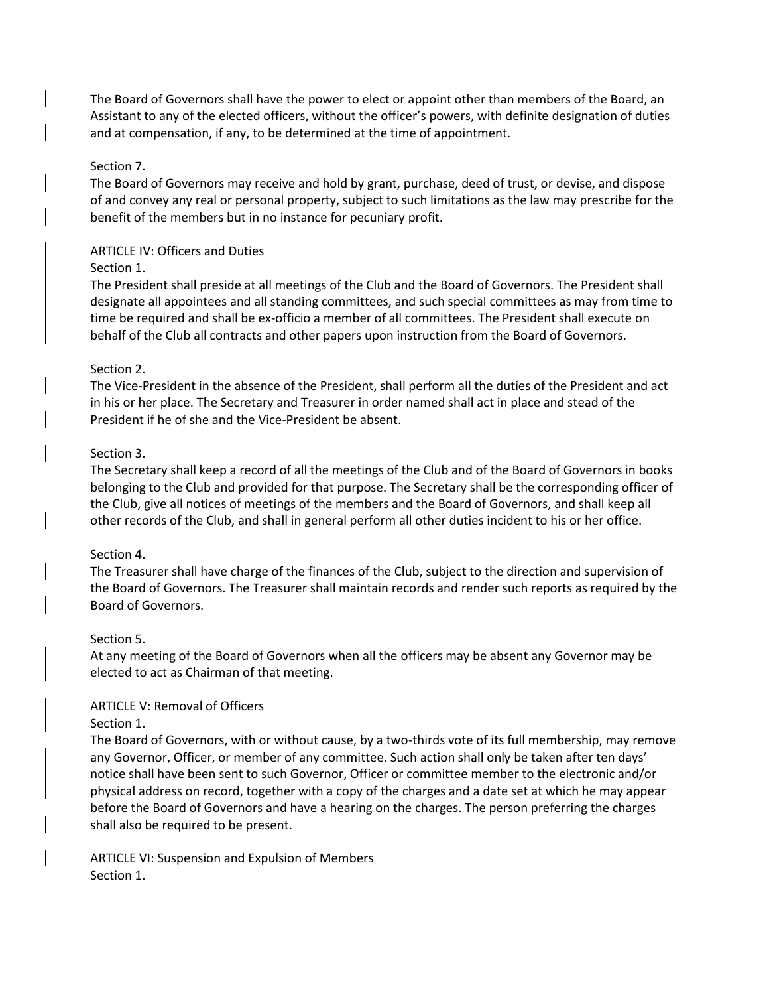The Board of Governors shall have the power to elect or appoint other than members of the Board, an Assistant to any of the elected officers, without the officer's powers, with definite designation of duties and at compensation, if any, to be determined at the time of appointment.

### Section 7.

The Board of Governors may receive and hold by grant, purchase, deed of trust, or devise, and dispose of and convey any real or personal property, subject to such limitations as the law may prescribe for the benefit of the members but in no instance for pecuniary profit.

### ARTICLE IV: Officers and Duties

### Section 1.

The President shall preside at all meetings of the Club and the Board of Governors. The President shall designate all appointees and all standing committees, and such special committees as may from time to time be required and shall be ex-officio a member of all committees. The President shall execute on behalf of the Club all contracts and other papers upon instruction from the Board of Governors.

### Section 2.

The Vice-President in the absence of the President, shall perform all the duties of the President and act in his or her place. The Secretary and Treasurer in order named shall act in place and stead of the President if he of she and the Vice-President be absent.

### Section 3.

The Secretary shall keep a record of all the meetings of the Club and of the Board of Governors in books belonging to the Club and provided for that purpose. The Secretary shall be the corresponding officer of the Club, give all notices of meetings of the members and the Board of Governors, and shall keep all other records of the Club, and shall in general perform all other duties incident to his or her office.

#### Section 4.

The Treasurer shall have charge of the finances of the Club, subject to the direction and supervision of the Board of Governors. The Treasurer shall maintain records and render such reports as required by the Board of Governors.

#### Section 5.

At any meeting of the Board of Governors when all the officers may be absent any Governor may be elected to act as Chairman of that meeting.

### ARTICLE V: Removal of Officers

#### Section 1.

The Board of Governors, with or without cause, by a two-thirds vote of its full membership, may remove any Governor, Officer, or member of any committee. Such action shall only be taken after ten days' notice shall have been sent to such Governor, Officer or committee member to the electronic and/or physical address on record, together with a copy of the charges and a date set at which he may appear before the Board of Governors and have a hearing on the charges. The person preferring the charges shall also be required to be present.

ARTICLE VI: Suspension and Expulsion of Members Section 1.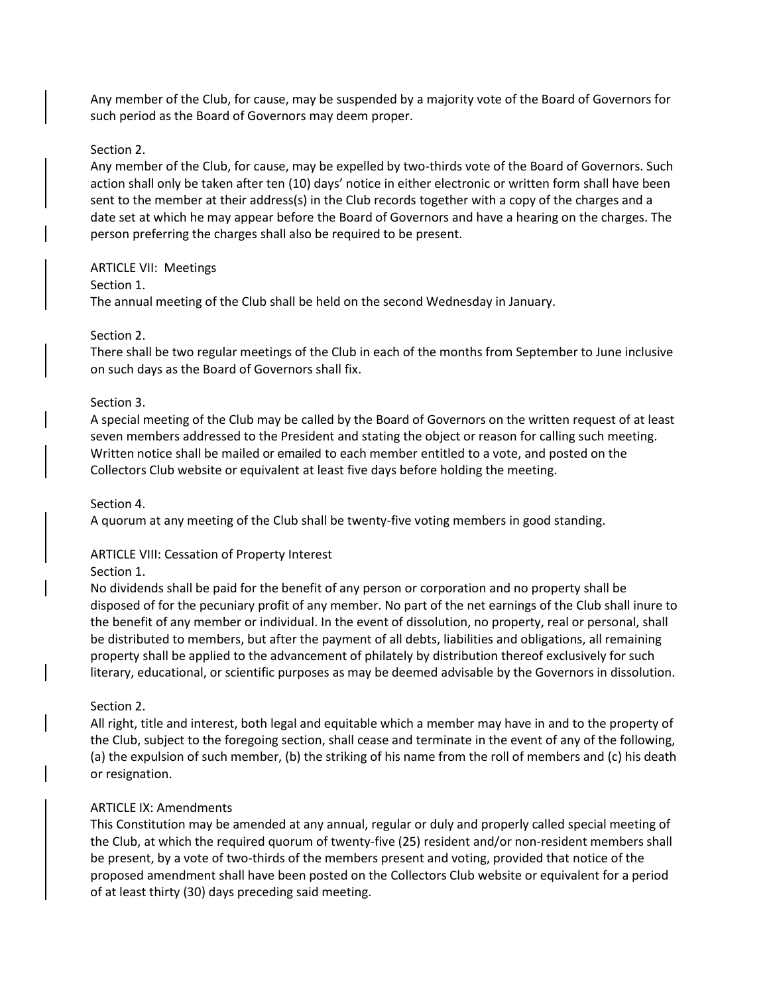Any member of the Club, for cause, may be suspended by a majority vote of the Board of Governors for such period as the Board of Governors may deem proper.

#### Section 2.

Any member of the Club, for cause, may be expelled by two-thirds vote of the Board of Governors. Such action shall only be taken after ten (10) days' notice in either electronic or written form shall have been sent to the member at their address(s) in the Club records together with a copy of the charges and a date set at which he may appear before the Board of Governors and have a hearing on the charges. The person preferring the charges shall also be required to be present.

### ARTICLE VII: Meetings

### Section 1.

The annual meeting of the Club shall be held on the second Wednesday in January.

### Section 2.

There shall be two regular meetings of the Club in each of the months from September to June inclusive on such days as the Board of Governors shall fix.

### Section 3.

A special meeting of the Club may be called by the Board of Governors on the written request of at least seven members addressed to the President and stating the object or reason for calling such meeting. Written notice shall be mailed or emailed to each member entitled to a vote, and posted on the Collectors Club website or equivalent at least five days before holding the meeting.

### Section 4.

A quorum at any meeting of the Club shall be twenty-five voting members in good standing.

# ARTICLE VIII: Cessation of Property Interest

### Section 1.

No dividends shall be paid for the benefit of any person or corporation and no property shall be disposed of for the pecuniary profit of any member. No part of the net earnings of the Club shall inure to the benefit of any member or individual. In the event of dissolution, no property, real or personal, shall be distributed to members, but after the payment of all debts, liabilities and obligations, all remaining property shall be applied to the advancement of philately by distribution thereof exclusively for such literary, educational, or scientific purposes as may be deemed advisable by the Governors in dissolution.

### Section 2.

All right, title and interest, both legal and equitable which a member may have in and to the property of the Club, subject to the foregoing section, shall cease and terminate in the event of any of the following, (a) the expulsion of such member, (b) the striking of his name from the roll of members and (c) his death or resignation.

### ARTICLE IX: Amendments

This Constitution may be amended at any annual, regular or duly and properly called special meeting of the Club, at which the required quorum of twenty-five (25) resident and/or non-resident members shall be present, by a vote of two-thirds of the members present and voting, provided that notice of the proposed amendment shall have been posted on the Collectors Club website or equivalent for a period of at least thirty (30) days preceding said meeting.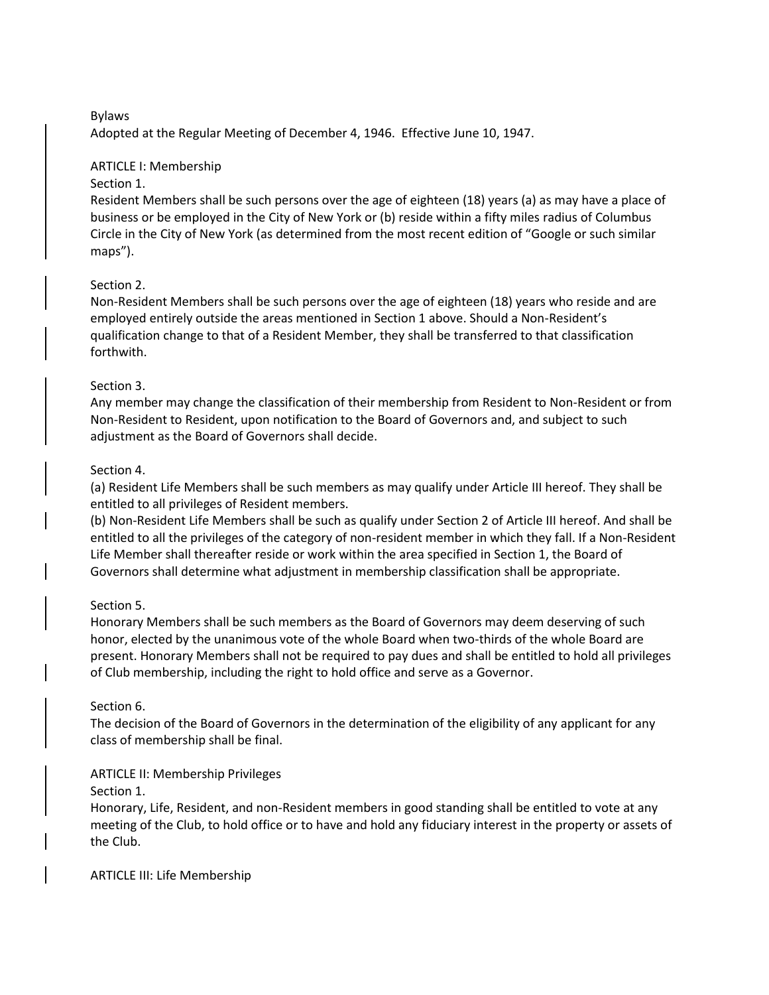### Bylaws

Adopted at the Regular Meeting of December 4, 1946. Effective June 10, 1947.

### ARTICLE I: Membership

### Section 1.

Resident Members shall be such persons over the age of eighteen (18) years (a) as may have a place of business or be employed in the City of New York or (b) reside within a fifty miles radius of Columbus Circle in the City of New York (as determined from the most recent edition of "Google or such similar maps").

### Section 2.

Non-Resident Members shall be such persons over the age of eighteen (18) years who reside and are employed entirely outside the areas mentioned in Section 1 above. Should a Non-Resident's qualification change to that of a Resident Member, they shall be transferred to that classification forthwith.

### Section 3.

Any member may change the classification of their membership from Resident to Non-Resident or from Non-Resident to Resident, upon notification to the Board of Governors and, and subject to such adjustment as the Board of Governors shall decide.

### Section 4.

(a) Resident Life Members shall be such members as may qualify under Article III hereof. They shall be entitled to all privileges of Resident members.

(b) Non-Resident Life Members shall be such as qualify under Section 2 of Article III hereof. And shall be entitled to all the privileges of the category of non-resident member in which they fall. If a Non-Resident Life Member shall thereafter reside or work within the area specified in Section 1, the Board of Governors shall determine what adjustment in membership classification shall be appropriate.

### Section 5.

Honorary Members shall be such members as the Board of Governors may deem deserving of such honor, elected by the unanimous vote of the whole Board when two-thirds of the whole Board are present. Honorary Members shall not be required to pay dues and shall be entitled to hold all privileges of Club membership, including the right to hold office and serve as a Governor.

### Section 6.

The decision of the Board of Governors in the determination of the eligibility of any applicant for any class of membership shall be final.

# ARTICLE II: Membership Privileges

### Section 1.

Honorary, Life, Resident, and non-Resident members in good standing shall be entitled to vote at any meeting of the Club, to hold office or to have and hold any fiduciary interest in the property or assets of the Club.

#### ARTICLE III: Life Membership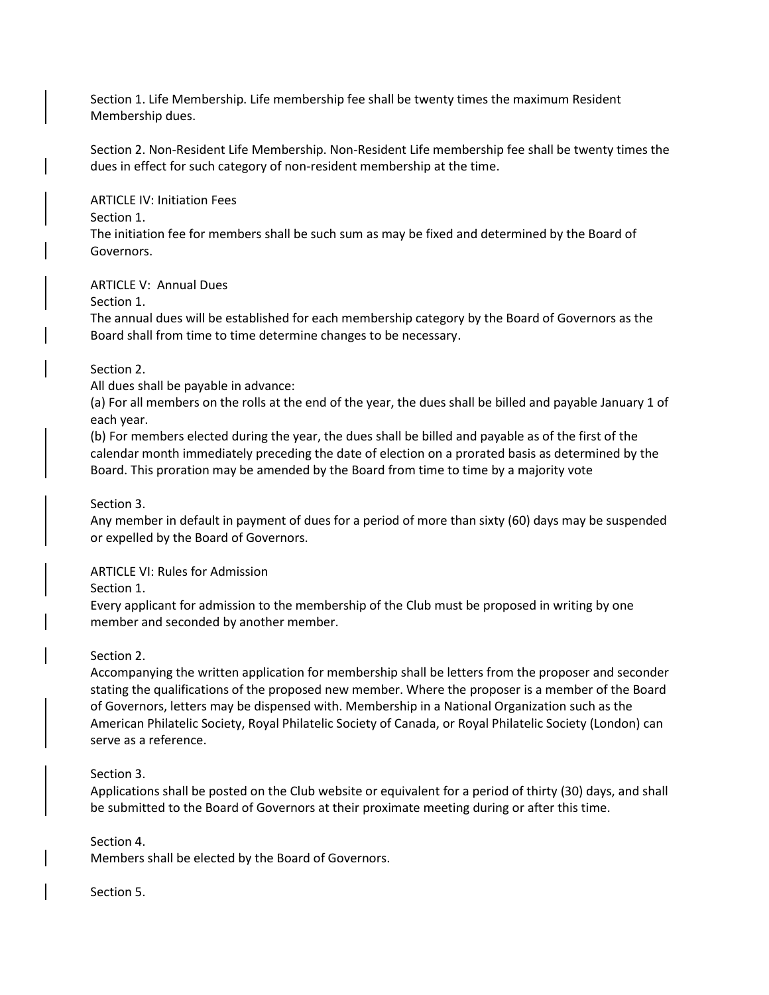Section 1. Life Membership. Life membership fee shall be twenty times the maximum Resident Membership dues.

Section 2. Non-Resident Life Membership. Non-Resident Life membership fee shall be twenty times the dues in effect for such category of non-resident membership at the time.

ARTICLE IV: Initiation Fees

### Section 1.

The initiation fee for members shall be such sum as may be fixed and determined by the Board of Governors.

### ARTICLE V: Annual Dues

Section 1.

The annual dues will be established for each membership category by the Board of Governors as the Board shall from time to time determine changes to be necessary.

### Section 2.

All dues shall be payable in advance:

(a) For all members on the rolls at the end of the year, the dues shall be billed and payable January 1 of each year.

(b) For members elected during the year, the dues shall be billed and payable as of the first of the calendar month immediately preceding the date of election on a prorated basis as determined by the Board. This proration may be amended by the Board from time to time by a majority vote

### Section 3.

Any member in default in payment of dues for a period of more than sixty (60) days may be suspended or expelled by the Board of Governors.

### ARTICLE VI: Rules for Admission

Section 1.

Every applicant for admission to the membership of the Club must be proposed in writing by one member and seconded by another member.

### Section 2.

Accompanying the written application for membership shall be letters from the proposer and seconder stating the qualifications of the proposed new member. Where the proposer is a member of the Board of Governors, letters may be dispensed with. Membership in a National Organization such as the American Philatelic Society, Royal Philatelic Society of Canada, or Royal Philatelic Society (London) can serve as a reference.

#### Section 3.

Applications shall be posted on the Club website or equivalent for a period of thirty (30) days, and shall be submitted to the Board of Governors at their proximate meeting during or after this time.

#### Section 4.

Members shall be elected by the Board of Governors.

#### Section 5.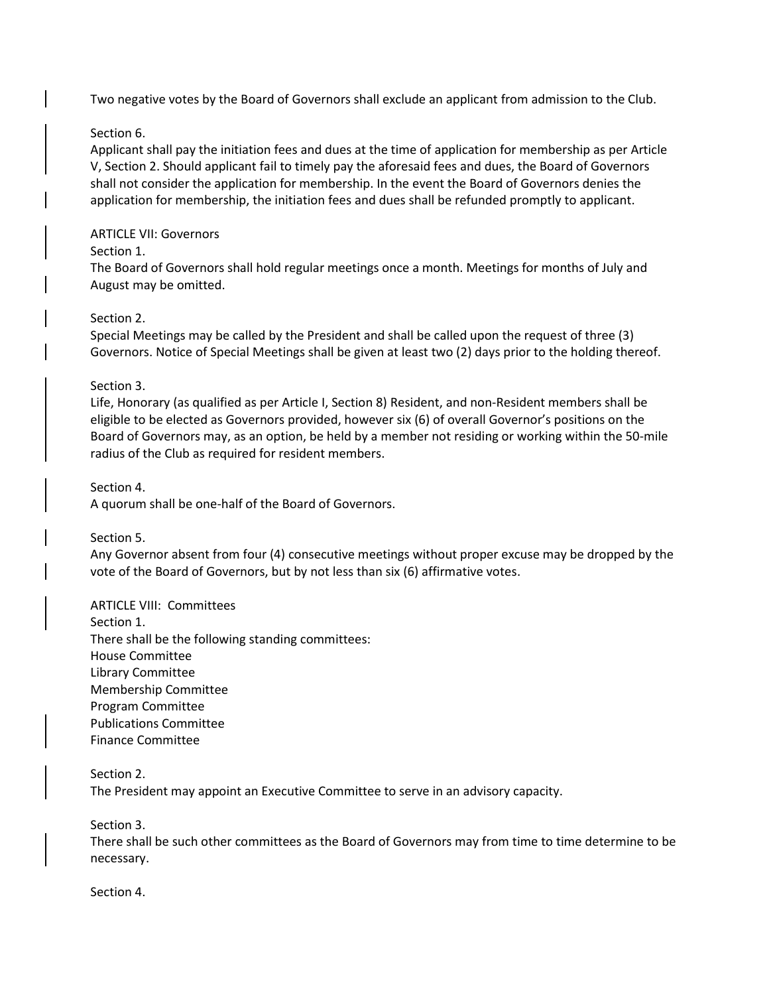Two negative votes by the Board of Governors shall exclude an applicant from admission to the Club.

### Section 6.

Applicant shall pay the initiation fees and dues at the time of application for membership as per Article V, Section 2. Should applicant fail to timely pay the aforesaid fees and dues, the Board of Governors shall not consider the application for membership. In the event the Board of Governors denies the application for membership, the initiation fees and dues shall be refunded promptly to applicant.

### ARTICLE VII: Governors

### Section 1.

The Board of Governors shall hold regular meetings once a month. Meetings for months of July and August may be omitted.

### Section 2.

Special Meetings may be called by the President and shall be called upon the request of three (3) Governors. Notice of Special Meetings shall be given at least two (2) days prior to the holding thereof.

### Section 3.

Life, Honorary (as qualified as per Article I, Section 8) Resident, and non-Resident members shall be eligible to be elected as Governors provided, however six (6) of overall Governor's positions on the Board of Governors may, as an option, be held by a member not residing or working within the 50-mile radius of the Club as required for resident members.

Section 4.

A quorum shall be one-half of the Board of Governors.

Section 5.

Any Governor absent from four (4) consecutive meetings without proper excuse may be dropped by the vote of the Board of Governors, but by not less than six (6) affirmative votes.

### ARTICLE VIII: Committees

Section 1. There shall be the following standing committees: House Committee Library Committee Membership Committee Program Committee Publications Committee Finance Committee

#### Section 2.

The President may appoint an Executive Committee to serve in an advisory capacity.

Section 3.

There shall be such other committees as the Board of Governors may from time to time determine to be necessary.

Section 4.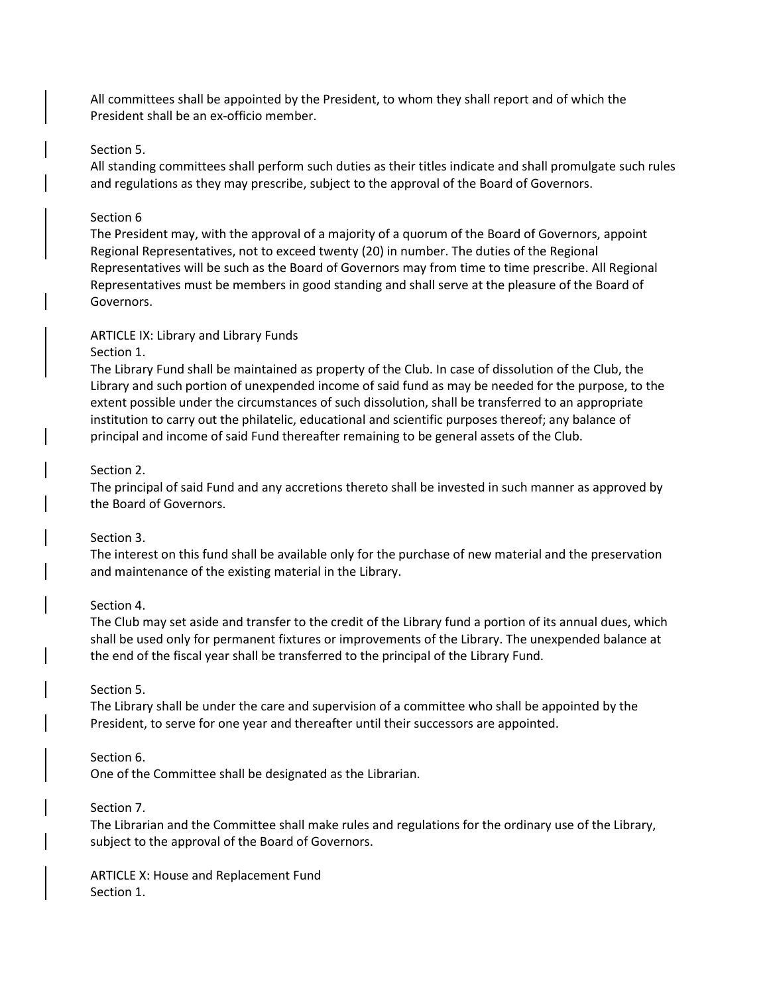All committees shall be appointed by the President, to whom they shall report and of which the President shall be an ex-officio member.

#### Section 5.

All standing committees shall perform such duties as their titles indicate and shall promulgate such rules and regulations as they may prescribe, subject to the approval of the Board of Governors.

### Section 6

The President may, with the approval of a majority of a quorum of the Board of Governors, appoint Regional Representatives, not to exceed twenty (20) in number. The duties of the Regional Representatives will be such as the Board of Governors may from time to time prescribe. All Regional Representatives must be members in good standing and shall serve at the pleasure of the Board of Governors.

### ARTICLE IX: Library and Library Funds

#### Section 1.

The Library Fund shall be maintained as property of the Club. In case of dissolution of the Club, the Library and such portion of unexpended income of said fund as may be needed for the purpose, to the extent possible under the circumstances of such dissolution, shall be transferred to an appropriate institution to carry out the philatelic, educational and scientific purposes thereof; any balance of principal and income of said Fund thereafter remaining to be general assets of the Club.

### Section 2.

The principal of said Fund and any accretions thereto shall be invested in such manner as approved by the Board of Governors.

#### Section 3.

The interest on this fund shall be available only for the purchase of new material and the preservation and maintenance of the existing material in the Library.

#### Section 4.

The Club may set aside and transfer to the credit of the Library fund a portion of its annual dues, which shall be used only for permanent fixtures or improvements of the Library. The unexpended balance at the end of the fiscal year shall be transferred to the principal of the Library Fund.

#### Section 5.

The Library shall be under the care and supervision of a committee who shall be appointed by the President, to serve for one year and thereafter until their successors are appointed.

#### Section 6.

One of the Committee shall be designated as the Librarian.

### Section 7.

The Librarian and the Committee shall make rules and regulations for the ordinary use of the Library, subject to the approval of the Board of Governors.

ARTICLE X: House and Replacement Fund Section 1.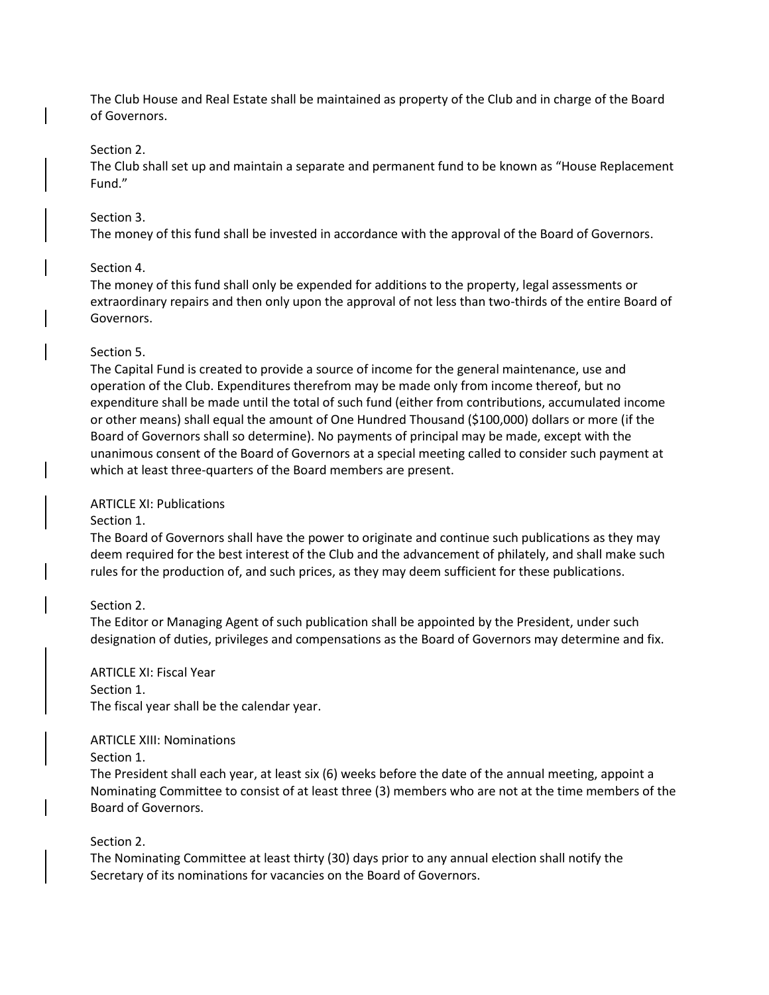The Club House and Real Estate shall be maintained as property of the Club and in charge of the Board of Governors.

### Section 2.

The Club shall set up and maintain a separate and permanent fund to be known as "House Replacement Fund."

### Section 3.

The money of this fund shall be invested in accordance with the approval of the Board of Governors.

### Section 4.

The money of this fund shall only be expended for additions to the property, legal assessments or extraordinary repairs and then only upon the approval of not less than two-thirds of the entire Board of Governors.

### Section 5.

The Capital Fund is created to provide a source of income for the general maintenance, use and operation of the Club. Expenditures therefrom may be made only from income thereof, but no expenditure shall be made until the total of such fund (either from contributions, accumulated income or other means) shall equal the amount of One Hundred Thousand (\$100,000) dollars or more (if the Board of Governors shall so determine). No payments of principal may be made, except with the unanimous consent of the Board of Governors at a special meeting called to consider such payment at which at least three-quarters of the Board members are present.

### ARTICLE XI: Publications

#### Section 1.

The Board of Governors shall have the power to originate and continue such publications as they may deem required for the best interest of the Club and the advancement of philately, and shall make such rules for the production of, and such prices, as they may deem sufficient for these publications.

### Section 2.

The Editor or Managing Agent of such publication shall be appointed by the President, under such designation of duties, privileges and compensations as the Board of Governors may determine and fix.

ARTICLE XI: Fiscal Year Section 1. The fiscal year shall be the calendar year.

#### ARTICLE XIII: Nominations

Section 1.

The President shall each year, at least six (6) weeks before the date of the annual meeting, appoint a Nominating Committee to consist of at least three (3) members who are not at the time members of the Board of Governors.

### Section 2.

The Nominating Committee at least thirty (30) days prior to any annual election shall notify the Secretary of its nominations for vacancies on the Board of Governors.